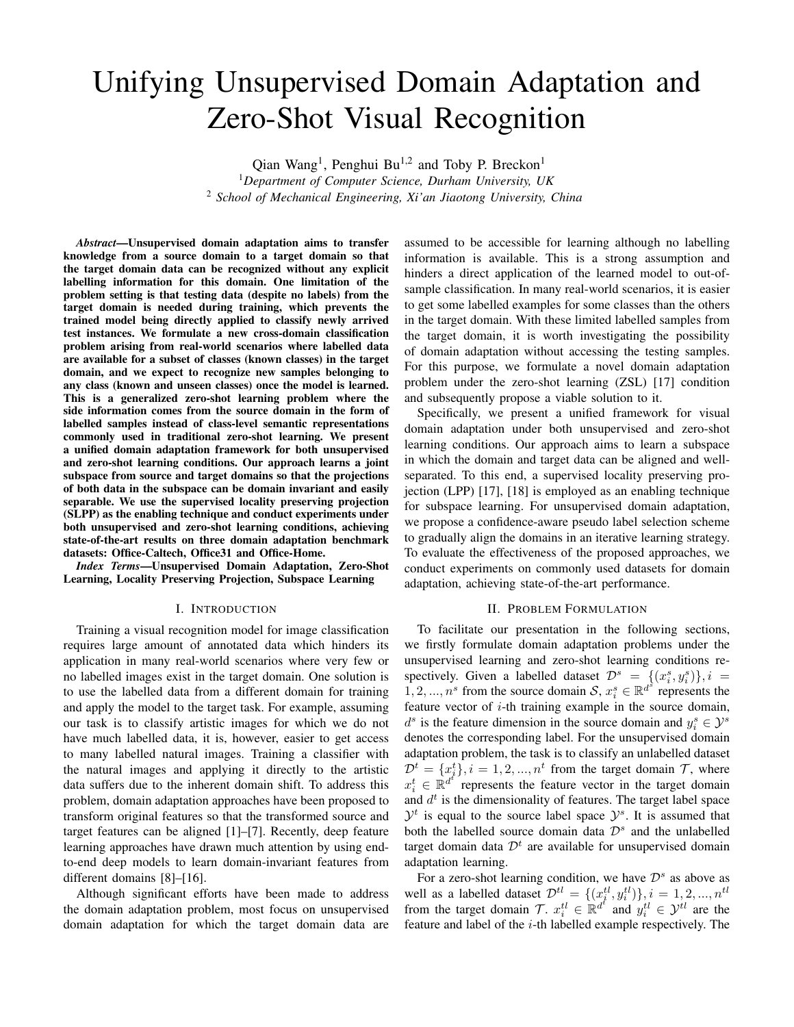# Unifying Unsupervised Domain Adaptation and Zero-Shot Visual Recognition

Qian Wang<sup>1</sup>, Penghui Bu<sup>1,2</sup> and Toby P. Breckon<sup>1</sup>

<sup>1</sup>*Department of Computer Science, Durham University, UK* <sup>2</sup> *School of Mechanical Engineering, Xi'an Jiaotong University, China*

*Abstract*—Unsupervised domain adaptation aims to transfer knowledge from a source domain to a target domain so that the target domain data can be recognized without any explicit labelling information for this domain. One limitation of the problem setting is that testing data (despite no labels) from the target domain is needed during training, which prevents the trained model being directly applied to classify newly arrived test instances. We formulate a new cross-domain classification problem arising from real-world scenarios where labelled data are available for a subset of classes (known classes) in the target domain, and we expect to recognize new samples belonging to any class (known and unseen classes) once the model is learned. This is a generalized zero-shot learning problem where the side information comes from the source domain in the form of labelled samples instead of class-level semantic representations commonly used in traditional zero-shot learning. We present a unified domain adaptation framework for both unsupervised and zero-shot learning conditions. Our approach learns a joint subspace from source and target domains so that the projections of both data in the subspace can be domain invariant and easily separable. We use the supervised locality preserving projection (SLPP) as the enabling technique and conduct experiments under both unsupervised and zero-shot learning conditions, achieving state-of-the-art results on three domain adaptation benchmark datasets: Office-Caltech, Office31 and Office-Home.

*Index Terms*—Unsupervised Domain Adaptation, Zero-Shot Learning, Locality Preserving Projection, Subspace Learning

#### I. INTRODUCTION

Training a visual recognition model for image classification requires large amount of annotated data which hinders its application in many real-world scenarios where very few or no labelled images exist in the target domain. One solution is to use the labelled data from a different domain for training and apply the model to the target task. For example, assuming our task is to classify artistic images for which we do not have much labelled data, it is, however, easier to get access to many labelled natural images. Training a classifier with the natural images and applying it directly to the artistic data suffers due to the inherent domain shift. To address this problem, domain adaptation approaches have been proposed to transform original features so that the transformed source and target features can be aligned [1]–[7]. Recently, deep feature learning approaches have drawn much attention by using endto-end deep models to learn domain-invariant features from different domains [8]–[16].

Although significant efforts have been made to address the domain adaptation problem, most focus on unsupervised domain adaptation for which the target domain data are assumed to be accessible for learning although no labelling information is available. This is a strong assumption and hinders a direct application of the learned model to out-ofsample classification. In many real-world scenarios, it is easier to get some labelled examples for some classes than the others in the target domain. With these limited labelled samples from the target domain, it is worth investigating the possibility of domain adaptation without accessing the testing samples. For this purpose, we formulate a novel domain adaptation problem under the zero-shot learning (ZSL) [17] condition and subsequently propose a viable solution to it.

Specifically, we present a unified framework for visual domain adaptation under both unsupervised and zero-shot learning conditions. Our approach aims to learn a subspace in which the domain and target data can be aligned and wellseparated. To this end, a supervised locality preserving projection (LPP) [17], [18] is employed as an enabling technique for subspace learning. For unsupervised domain adaptation, we propose a confidence-aware pseudo label selection scheme to gradually align the domains in an iterative learning strategy. To evaluate the effectiveness of the proposed approaches, we conduct experiments on commonly used datasets for domain adaptation, achieving state-of-the-art performance.

#### II. PROBLEM FORMULATION

To facilitate our presentation in the following sections, we firstly formulate domain adaptation problems under the unsupervised learning and zero-shot learning conditions respectively. Given a labelled dataset  $\mathcal{D}^s = \{(x_i^s, y_i^s)\}, i =$ 1, 2, ...,  $n^s$  from the source domain  $\mathcal{S}, x_i^s \in \mathbb{R}^{d^s}$  represents the feature vector of  $i$ -th training example in the source domain,  $d^s$  is the feature dimension in the source domain and  $y_i^s \in \mathcal{Y}^s$ denotes the corresponding label. For the unsupervised domain adaptation problem, the task is to classify an unlabelled dataset  $\mathcal{D}^t = \{x_j^t\}, i = 1, 2, ..., n^t$  from the target domain  $\mathcal{T}$ , where  $x_i^t \in \mathbb{R}^{d^e}$  represents the feature vector in the target domain and  $d<sup>t</sup>$  is the dimensionality of features. The target label space  $\mathcal{Y}^t$  is equal to the source label space  $\mathcal{Y}^s$ . It is assumed that both the labelled source domain data  $\mathcal{D}^s$  and the unlabelled target domain data  $\mathcal{D}^t$  are available for unsupervised domain adaptation learning.

For a zero-shot learning condition, we have  $\mathcal{D}^s$  as above as well as a labelled dataset  $\mathcal{D}^{tl} = \{(x_i^{tl}, y_i^{tl})\}, i = 1, 2, ..., n^{tl}$ from the target domain  $\mathcal{T}$ .  $x_i^{tl} \in \mathbb{R}^{d^{\ell}}$  and  $y_i^{tl} \in \mathcal{Y}^{tl}$  are the feature and label of the i-th labelled example respectively. The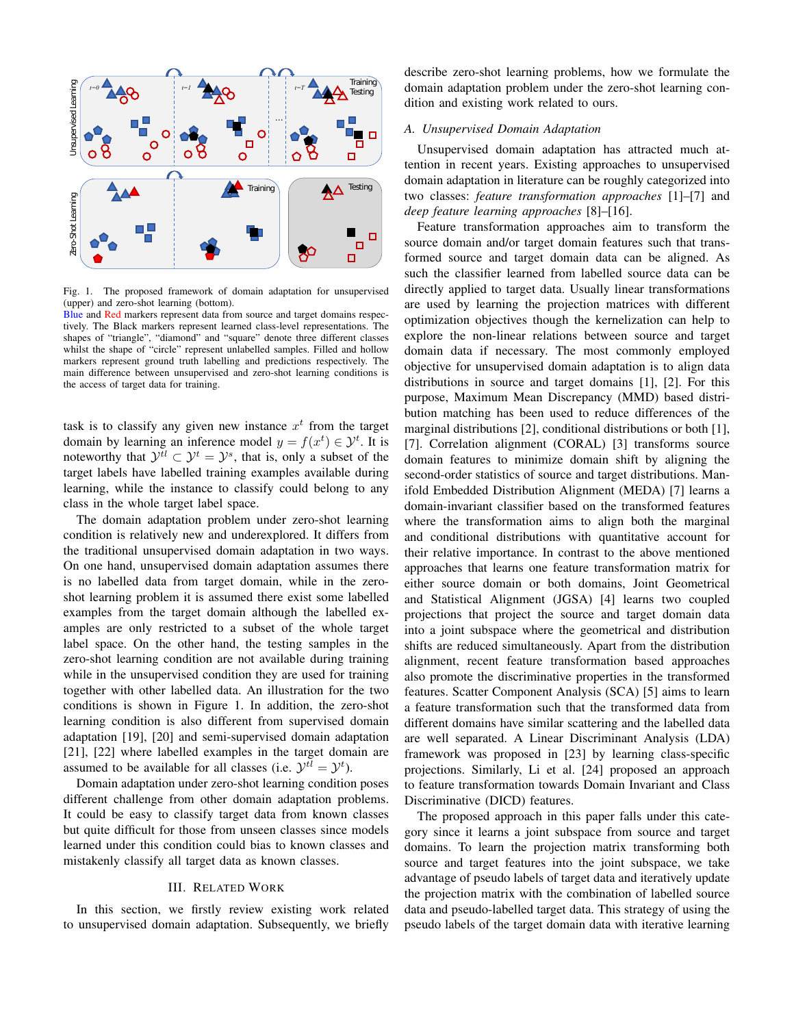

Fig. 1. The proposed framework of domain adaptation for unsupervised (upper) and zero-shot learning (bottom).

Blue and Red markers represent data from source and target domains respectively. The Black markers represent learned class-level representations. The shapes of "triangle", "diamond" and "square" denote three different classes whilst the shape of "circle" represent unlabelled samples. Filled and hollow markers represent ground truth labelling and predictions respectively. The main difference between unsupervised and zero-shot learning conditions is the access of target data for training.

task is to classify any given new instance  $x^t$  from the target domain by learning an inference model  $y = f(x^t) \in \mathcal{Y}^t$ . It is noteworthy that  $\mathcal{Y}^{tl} \subset \mathcal{Y}^{t} = \mathcal{Y}^{s}$ , that is, only a subset of the target labels have labelled training examples available during learning, while the instance to classify could belong to any class in the whole target label space.

The domain adaptation problem under zero-shot learning condition is relatively new and underexplored. It differs from the traditional unsupervised domain adaptation in two ways. On one hand, unsupervised domain adaptation assumes there is no labelled data from target domain, while in the zeroshot learning problem it is assumed there exist some labelled examples from the target domain although the labelled examples are only restricted to a subset of the whole target label space. On the other hand, the testing samples in the zero-shot learning condition are not available during training while in the unsupervised condition they are used for training together with other labelled data. An illustration for the two conditions is shown in Figure 1. In addition, the zero-shot learning condition is also different from supervised domain adaptation [19], [20] and semi-supervised domain adaptation [21], [22] where labelled examples in the target domain are assumed to be available for all classes (i.e.  $\mathcal{Y}^{tl} = \mathcal{Y}^{t}$ ).

Domain adaptation under zero-shot learning condition poses different challenge from other domain adaptation problems. It could be easy to classify target data from known classes but quite difficult for those from unseen classes since models learned under this condition could bias to known classes and mistakenly classify all target data as known classes.

# III. RELATED WORK

In this section, we firstly review existing work related to unsupervised domain adaptation. Subsequently, we briefly describe zero-shot learning problems, how we formulate the domain adaptation problem under the zero-shot learning condition and existing work related to ours.

### *A. Unsupervised Domain Adaptation*

Unsupervised domain adaptation has attracted much attention in recent years. Existing approaches to unsupervised domain adaptation in literature can be roughly categorized into two classes: *feature transformation approaches* [1]–[7] and *deep feature learning approaches* [8]–[16].

Feature transformation approaches aim to transform the source domain and/or target domain features such that transformed source and target domain data can be aligned. As such the classifier learned from labelled source data can be directly applied to target data. Usually linear transformations are used by learning the projection matrices with different optimization objectives though the kernelization can help to explore the non-linear relations between source and target domain data if necessary. The most commonly employed objective for unsupervised domain adaptation is to align data distributions in source and target domains [1], [2]. For this purpose, Maximum Mean Discrepancy (MMD) based distribution matching has been used to reduce differences of the marginal distributions [2], conditional distributions or both [1], [7]. Correlation alignment (CORAL) [3] transforms source domain features to minimize domain shift by aligning the second-order statistics of source and target distributions. Manifold Embedded Distribution Alignment (MEDA) [7] learns a domain-invariant classifier based on the transformed features where the transformation aims to align both the marginal and conditional distributions with quantitative account for their relative importance. In contrast to the above mentioned approaches that learns one feature transformation matrix for either source domain or both domains, Joint Geometrical and Statistical Alignment (JGSA) [4] learns two coupled projections that project the source and target domain data into a joint subspace where the geometrical and distribution shifts are reduced simultaneously. Apart from the distribution alignment, recent feature transformation based approaches also promote the discriminative properties in the transformed features. Scatter Component Analysis (SCA) [5] aims to learn a feature transformation such that the transformed data from different domains have similar scattering and the labelled data are well separated. A Linear Discriminant Analysis (LDA) framework was proposed in [23] by learning class-specific projections. Similarly, Li et al. [24] proposed an approach to feature transformation towards Domain Invariant and Class Discriminative (DICD) features.

The proposed approach in this paper falls under this category since it learns a joint subspace from source and target domains. To learn the projection matrix transforming both source and target features into the joint subspace, we take advantage of pseudo labels of target data and iteratively update the projection matrix with the combination of labelled source data and pseudo-labelled target data. This strategy of using the pseudo labels of the target domain data with iterative learning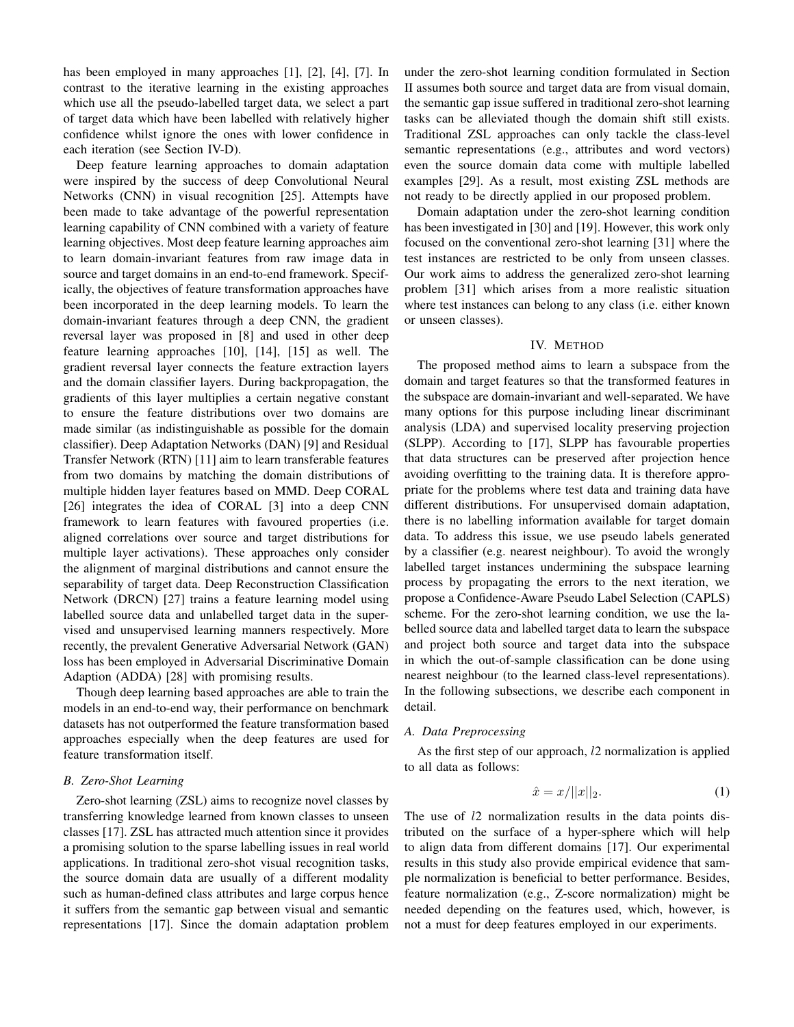has been employed in many approaches [1], [2], [4], [7]. In contrast to the iterative learning in the existing approaches which use all the pseudo-labelled target data, we select a part of target data which have been labelled with relatively higher confidence whilst ignore the ones with lower confidence in each iteration (see Section IV-D).

Deep feature learning approaches to domain adaptation were inspired by the success of deep Convolutional Neural Networks (CNN) in visual recognition [25]. Attempts have been made to take advantage of the powerful representation learning capability of CNN combined with a variety of feature learning objectives. Most deep feature learning approaches aim to learn domain-invariant features from raw image data in source and target domains in an end-to-end framework. Specifically, the objectives of feature transformation approaches have been incorporated in the deep learning models. To learn the domain-invariant features through a deep CNN, the gradient reversal layer was proposed in [8] and used in other deep feature learning approaches [10], [14], [15] as well. The gradient reversal layer connects the feature extraction layers and the domain classifier layers. During backpropagation, the gradients of this layer multiplies a certain negative constant to ensure the feature distributions over two domains are made similar (as indistinguishable as possible for the domain classifier). Deep Adaptation Networks (DAN) [9] and Residual Transfer Network (RTN) [11] aim to learn transferable features from two domains by matching the domain distributions of multiple hidden layer features based on MMD. Deep CORAL [26] integrates the idea of CORAL [3] into a deep CNN framework to learn features with favoured properties (i.e. aligned correlations over source and target distributions for multiple layer activations). These approaches only consider the alignment of marginal distributions and cannot ensure the separability of target data. Deep Reconstruction Classification Network (DRCN) [27] trains a feature learning model using labelled source data and unlabelled target data in the supervised and unsupervised learning manners respectively. More recently, the prevalent Generative Adversarial Network (GAN) loss has been employed in Adversarial Discriminative Domain Adaption (ADDA) [28] with promising results.

Though deep learning based approaches are able to train the models in an end-to-end way, their performance on benchmark datasets has not outperformed the feature transformation based approaches especially when the deep features are used for feature transformation itself.

#### *B. Zero-Shot Learning*

Zero-shot learning (ZSL) aims to recognize novel classes by transferring knowledge learned from known classes to unseen classes [17]. ZSL has attracted much attention since it provides a promising solution to the sparse labelling issues in real world applications. In traditional zero-shot visual recognition tasks, the source domain data are usually of a different modality such as human-defined class attributes and large corpus hence it suffers from the semantic gap between visual and semantic representations [17]. Since the domain adaptation problem under the zero-shot learning condition formulated in Section II assumes both source and target data are from visual domain, the semantic gap issue suffered in traditional zero-shot learning tasks can be alleviated though the domain shift still exists. Traditional ZSL approaches can only tackle the class-level semantic representations (e.g., attributes and word vectors) even the source domain data come with multiple labelled examples [29]. As a result, most existing ZSL methods are not ready to be directly applied in our proposed problem.

Domain adaptation under the zero-shot learning condition has been investigated in [30] and [19]. However, this work only focused on the conventional zero-shot learning [31] where the test instances are restricted to be only from unseen classes. Our work aims to address the generalized zero-shot learning problem [31] which arises from a more realistic situation where test instances can belong to any class (i.e. either known or unseen classes).

### IV. METHOD

The proposed method aims to learn a subspace from the domain and target features so that the transformed features in the subspace are domain-invariant and well-separated. We have many options for this purpose including linear discriminant analysis (LDA) and supervised locality preserving projection (SLPP). According to [17], SLPP has favourable properties that data structures can be preserved after projection hence avoiding overfitting to the training data. It is therefore appropriate for the problems where test data and training data have different distributions. For unsupervised domain adaptation, there is no labelling information available for target domain data. To address this issue, we use pseudo labels generated by a classifier (e.g. nearest neighbour). To avoid the wrongly labelled target instances undermining the subspace learning process by propagating the errors to the next iteration, we propose a Confidence-Aware Pseudo Label Selection (CAPLS) scheme. For the zero-shot learning condition, we use the labelled source data and labelled target data to learn the subspace and project both source and target data into the subspace in which the out-of-sample classification can be done using nearest neighbour (to the learned class-level representations). In the following subsections, we describe each component in detail.

#### *A. Data Preprocessing*

As the first step of our approach, l2 normalization is applied to all data as follows:

$$
\hat{x} = x/||x||_2.
$$
 (1)

The use of  $l2$  normalization results in the data points distributed on the surface of a hyper-sphere which will help to align data from different domains [17]. Our experimental results in this study also provide empirical evidence that sample normalization is beneficial to better performance. Besides, feature normalization (e.g., Z-score normalization) might be needed depending on the features used, which, however, is not a must for deep features employed in our experiments.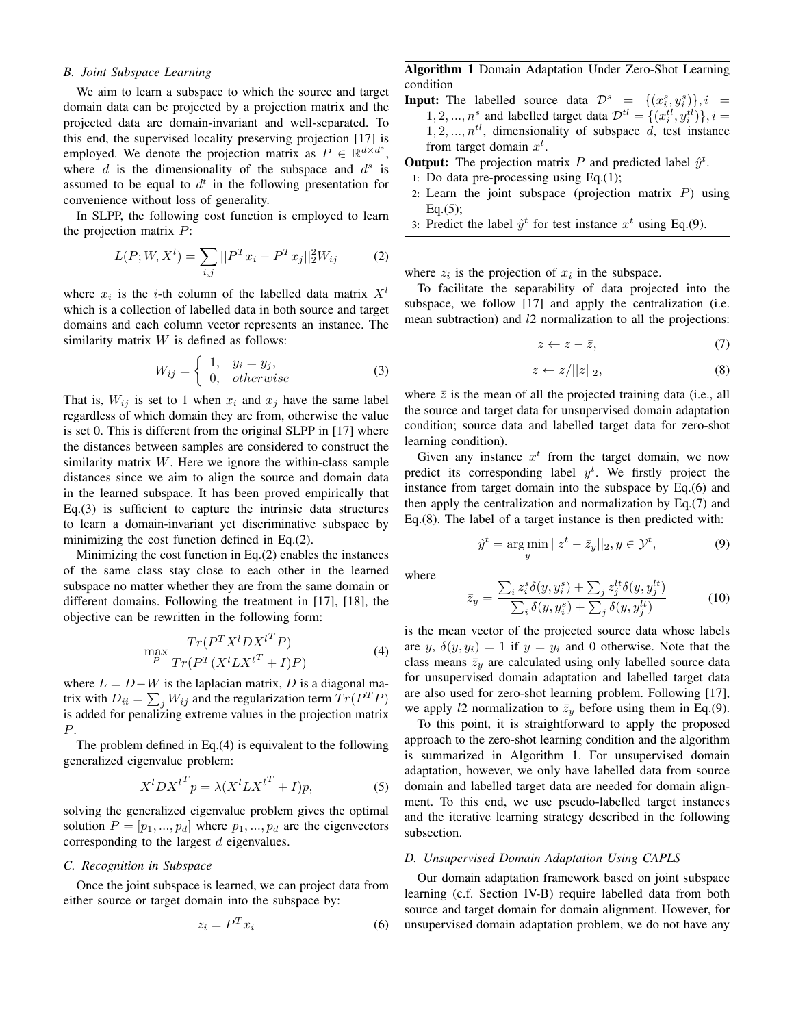# *B. Joint Subspace Learning*

We aim to learn a subspace to which the source and target domain data can be projected by a projection matrix and the projected data are domain-invariant and well-separated. To this end, the supervised locality preserving projection [17] is employed. We denote the projection matrix as  $P \in \mathbb{R}^{d \times d^s}$ , where  $d$  is the dimensionality of the subspace and  $d^s$  is assumed to be equal to  $d^t$  in the following presentation for convenience without loss of generality.

In SLPP, the following cost function is employed to learn the projection matrix  $P$ :

$$
L(P; W, X^l) = \sum_{i,j} ||P^T x_i - P^T x_j||_2^2 W_{ij}
$$
 (2)

where  $x_i$  is the *i*-th column of the labelled data matrix  $X^l$ which is a collection of labelled data in both source and target domains and each column vector represents an instance. The similarity matrix  $W$  is defined as follows:

$$
W_{ij} = \begin{cases} 1, & y_i = y_j, \\ 0, & otherwise \end{cases} \tag{3}
$$

That is,  $W_{ij}$  is set to 1 when  $x_i$  and  $x_j$  have the same label regardless of which domain they are from, otherwise the value is set 0. This is different from the original SLPP in [17] where the distances between samples are considered to construct the similarity matrix  $W$ . Here we ignore the within-class sample distances since we aim to align the source and domain data in the learned subspace. It has been proved empirically that Eq.(3) is sufficient to capture the intrinsic data structures to learn a domain-invariant yet discriminative subspace by minimizing the cost function defined in Eq.(2).

Minimizing the cost function in Eq.(2) enables the instances of the same class stay close to each other in the learned subspace no matter whether they are from the same domain or different domains. Following the treatment in [17], [18], the objective can be rewritten in the following form:

$$
\max_{P} \frac{Tr(P^T X^l D X^{l^T} P)}{Tr(P^T (X^l L X^{l^T} + I)P)}
$$
(4)

where  $L = D - W$  is the laplacian matrix, D is a diagonal matrix with  $D_{ii} = \sum_j W_{ij}$  and the regularization term  $Tr(P^T P)$ is added for penalizing extreme values in the projection matrix P.

The problem defined in Eq.(4) is equivalent to the following generalized eigenvalue problem:

$$
X^{l}DX^{l^{T}}p = \lambda (X^{l}LX^{l^{T}} + I)p,
$$
\n(5)

solving the generalized eigenvalue problem gives the optimal solution  $P = [p_1, ..., p_d]$  where  $p_1, ..., p_d$  are the eigenvectors corresponding to the largest  $d$  eigenvalues.

### *C. Recognition in Subspace*

Once the joint subspace is learned, we can project data from either source or target domain into the subspace by:

$$
z_i = P^T x_i \tag{6}
$$

Algorithm 1 Domain Adaptation Under Zero-Shot Learning condition

- **Input:** The labelled source data  $\mathcal{D}^s = \{(x_i^s, y_i^s)\}, i =$  $1, 2, ..., n^s$  and labelled target data  $\mathcal{D}^{tl} = \{(x_i^{tl}, y_i^{tl})\}, i =$  $1, 2, \ldots, n^{tl}$ , dimensionality of subspace d, test instance from target domain  $x^t$ .
- **Output:** The projection matrix P and predicted label  $\hat{y}^t$ .
- 1: Do data pre-processing using Eq.(1);
- 2: Learn the joint subspace (projection matrix  $P$ ) using  $Eq.(5);$
- 3: Predict the label  $\hat{y}^t$  for test instance  $x^t$  using Eq.(9).

where  $z_i$  is the projection of  $x_i$  in the subspace.

To facilitate the separability of data projected into the subspace, we follow [17] and apply the centralization (i.e. mean subtraction) and *l*2 normalization to all the projections:

$$
z \leftarrow z - \bar{z}, \tag{7}
$$

$$
z \leftarrow z / ||z||_2,\tag{8}
$$

where  $\bar{z}$  is the mean of all the projected training data (i.e., all the source and target data for unsupervised domain adaptation condition; source data and labelled target data for zero-shot learning condition).

Given any instance  $x^t$  from the target domain, we now predict its corresponding label  $y^t$ . We firstly project the instance from target domain into the subspace by Eq.(6) and then apply the centralization and normalization by Eq.(7) and Eq.(8). The label of a target instance is then predicted with:

$$
\hat{y}^t = \underset{y}{\text{arg min}} \, ||z^t - \bar{z}_y||_2, y \in \mathcal{Y}^t,\tag{9}
$$

where

$$
\bar{z}_y = \frac{\sum_i z_i^s \delta(y, y_i^s) + \sum_j z_j^{lt} \delta(y, y_j^{lt})}{\sum_i \delta(y, y_i^s) + \sum_j \delta(y, y_j^{lt})} \tag{10}
$$

is the mean vector of the projected source data whose labels are y,  $\delta(y, y_i) = 1$  if  $y = y_i$  and 0 otherwise. Note that the class means  $\bar{z}_y$  are calculated using only labelled source data for unsupervised domain adaptation and labelled target data are also used for zero-shot learning problem. Following [17], we apply l2 normalization to  $\bar{z}_y$  before using them in Eq.(9).

To this point, it is straightforward to apply the proposed approach to the zero-shot learning condition and the algorithm is summarized in Algorithm 1. For unsupervised domain adaptation, however, we only have labelled data from source domain and labelled target data are needed for domain alignment. To this end, we use pseudo-labelled target instances and the iterative learning strategy described in the following subsection.

#### *D. Unsupervised Domain Adaptation Using CAPLS*

Our domain adaptation framework based on joint subspace learning (c.f. Section IV-B) require labelled data from both source and target domain for domain alignment. However, for unsupervised domain adaptation problem, we do not have any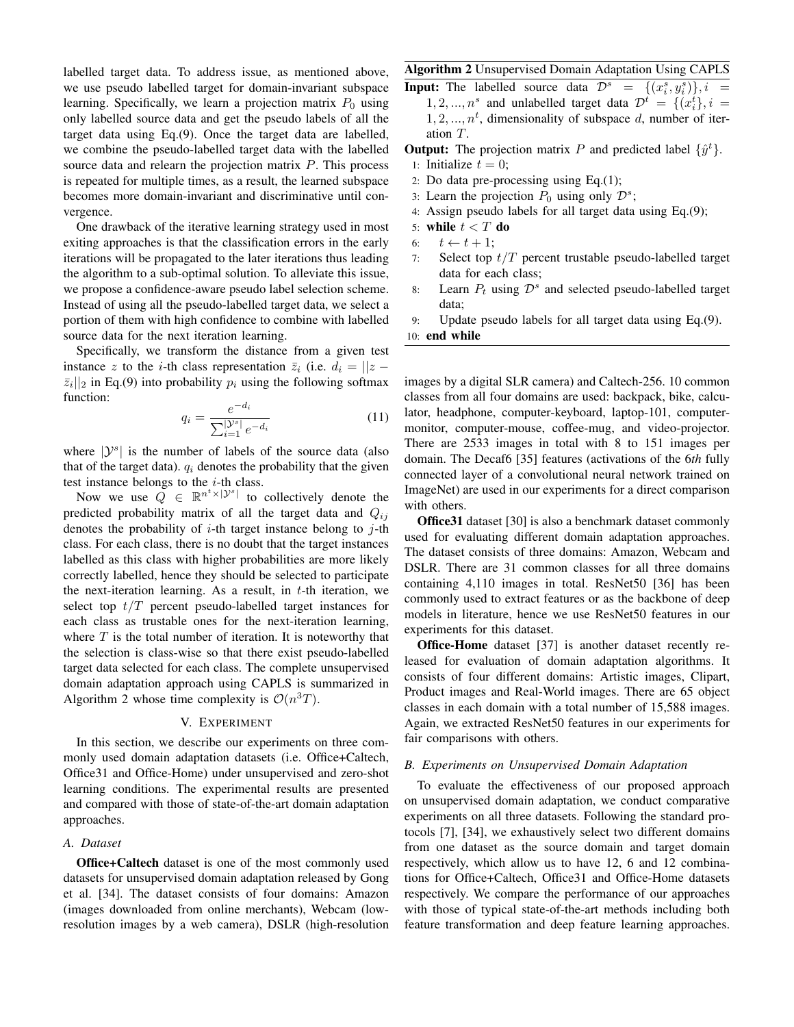labelled target data. To address issue, as mentioned above, we use pseudo labelled target for domain-invariant subspace learning. Specifically, we learn a projection matrix  $P_0$  using only labelled source data and get the pseudo labels of all the target data using Eq.(9). Once the target data are labelled, we combine the pseudo-labelled target data with the labelled source data and relearn the projection matrix P. This process is repeated for multiple times, as a result, the learned subspace becomes more domain-invariant and discriminative until convergence.

One drawback of the iterative learning strategy used in most exiting approaches is that the classification errors in the early iterations will be propagated to the later iterations thus leading the algorithm to a sub-optimal solution. To alleviate this issue, we propose a confidence-aware pseudo label selection scheme. Instead of using all the pseudo-labelled target data, we select a portion of them with high confidence to combine with labelled source data for the next iteration learning.

Specifically, we transform the distance from a given test instance z to the *i*-th class representation  $\overline{z}_i$  (i.e.  $d_i = ||z - z||$  $\overline{z}_i||_2$  in Eq.(9) into probability  $p_i$  using the following softmax function:

$$
q_i = \frac{e^{-d_i}}{\sum_{i=1}^{|\mathcal{Y}^s|} e^{-d_i}} \tag{11}
$$

where  $|\mathcal{Y}^s|$  is the number of labels of the source data (also that of the target data).  $q_i$  denotes the probability that the given test instance belongs to the  $i$ -th class.

Now we use  $Q \in \mathbb{R}^{n^t \times |\mathcal{Y}^s|}$  to collectively denote the predicted probability matrix of all the target data and  $Q_{ij}$ denotes the probability of  $i$ -th target instance belong to  $j$ -th class. For each class, there is no doubt that the target instances labelled as this class with higher probabilities are more likely correctly labelled, hence they should be selected to participate the next-iteration learning. As a result, in  $t$ -th iteration, we select top  $t/T$  percent pseudo-labelled target instances for each class as trustable ones for the next-iteration learning, where  $T$  is the total number of iteration. It is noteworthy that the selection is class-wise so that there exist pseudo-labelled target data selected for each class. The complete unsupervised domain adaptation approach using CAPLS is summarized in Algorithm 2 whose time complexity is  $\mathcal{O}(n^3T)$ .

### V. EXPERIMENT

In this section, we describe our experiments on three commonly used domain adaptation datasets (i.e. Office+Caltech, Office31 and Office-Home) under unsupervised and zero-shot learning conditions. The experimental results are presented and compared with those of state-of-the-art domain adaptation approaches.

# *A. Dataset*

Office+Caltech dataset is one of the most commonly used datasets for unsupervised domain adaptation released by Gong et al. [34]. The dataset consists of four domains: Amazon (images downloaded from online merchants), Webcam (lowresolution images by a web camera), DSLR (high-resolution

# Algorithm 2 Unsupervised Domain Adaptation Using CAPLS

- **Input:** The labelled source data  $\mathcal{D}^s = \{(x_i^s, y_i^s)\}, i =$ 1, 2, ...,  $n^s$  and unlabelled target data  $\mathcal{D}^t = \{(x_i^t), i =$  $1, 2, \ldots, n^t$ , dimensionality of subspace d, number of iteration T.
- **Output:** The projection matrix P and predicted label  $\{\hat{y}^t\}$ .
- 1: Initialize  $t = 0$ ;
- 2: Do data pre-processing using Eq.(1);
- 3: Learn the projection  $P_0$  using only  $\mathcal{D}^s$ ;
- 4: Assign pseudo labels for all target data using Eq.(9);
- 5: while  $t < T$  do
- 6:  $t \leftarrow t + 1$ ;
- 7: Select top  $t/T$  percent trustable pseudo-labelled target data for each class;
- 8: Learn  $P_t$  using  $\mathcal{D}^s$  and selected pseudo-labelled target data;
- 9: Update pseudo labels for all target data using Eq.(9).

10: end while

images by a digital SLR camera) and Caltech-256. 10 common classes from all four domains are used: backpack, bike, calculator, headphone, computer-keyboard, laptop-101, computermonitor, computer-mouse, coffee-mug, and video-projector. There are 2533 images in total with 8 to 151 images per domain. The Decaf6 [35] features (activations of the 6*th* fully connected layer of a convolutional neural network trained on ImageNet) are used in our experiments for a direct comparison with others.

Office31 dataset [30] is also a benchmark dataset commonly used for evaluating different domain adaptation approaches. The dataset consists of three domains: Amazon, Webcam and DSLR. There are 31 common classes for all three domains containing 4,110 images in total. ResNet50 [36] has been commonly used to extract features or as the backbone of deep models in literature, hence we use ResNet50 features in our experiments for this dataset.

Office-Home dataset [37] is another dataset recently released for evaluation of domain adaptation algorithms. It consists of four different domains: Artistic images, Clipart, Product images and Real-World images. There are 65 object classes in each domain with a total number of 15,588 images. Again, we extracted ResNet50 features in our experiments for fair comparisons with others.

## *B. Experiments on Unsupervised Domain Adaptation*

To evaluate the effectiveness of our proposed approach on unsupervised domain adaptation, we conduct comparative experiments on all three datasets. Following the standard protocols [7], [34], we exhaustively select two different domains from one dataset as the source domain and target domain respectively, which allow us to have 12, 6 and 12 combinations for Office+Caltech, Office31 and Office-Home datasets respectively. We compare the performance of our approaches with those of typical state-of-the-art methods including both feature transformation and deep feature learning approaches.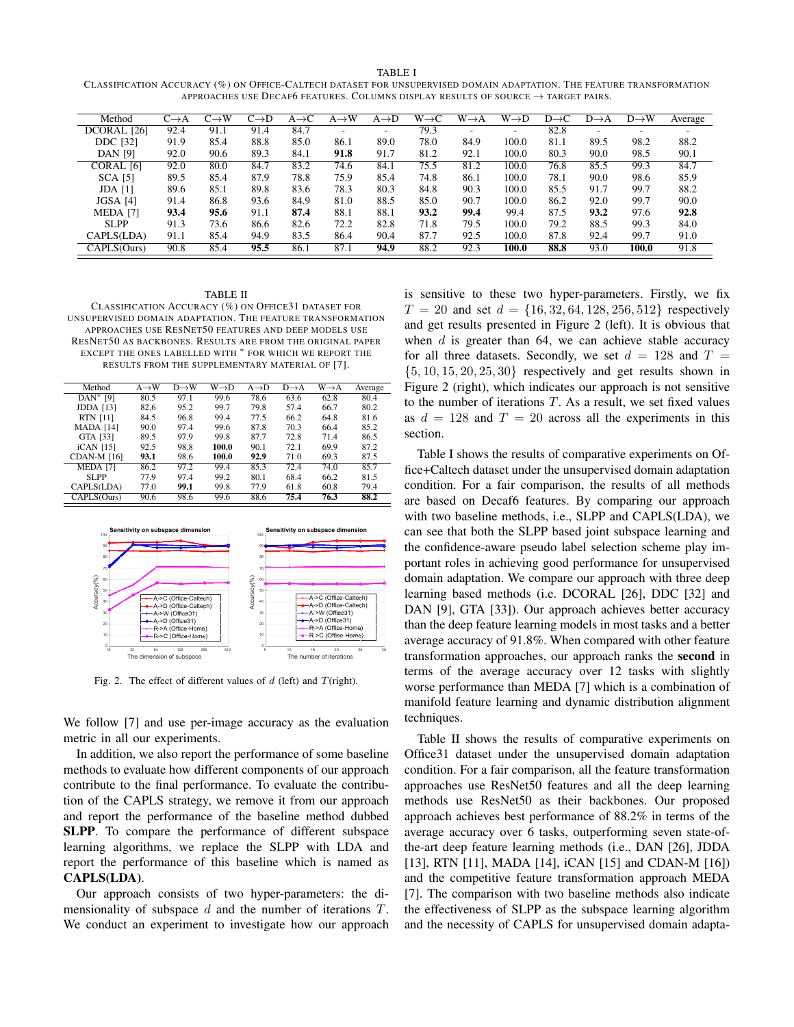CLASSIFICATION ACCURACY (%) ON OFFICE-CALTECH DATASET FOR UNSUPERVISED DOMAIN ADAPTATION. THE FEATURE TRANSFORMATION APPROACHES USE DECAF6 FEATURES. COLUMNS DISPLAY RESULTS OF SOURCE  $\rightarrow$  TARGET PAIRS.

| Method          | $C\rightarrow A$ | $C \rightarrow W$ | $C\rightarrow D$ | $A \rightarrow C$ | $A \rightarrow W$ | $A\rightarrow D$ | $W \rightarrow C$ | $W \rightarrow A$ | $W \rightarrow D$ | $D \rightarrow C$ | $D\rightarrow A$ | $D \rightarrow W$ | Average |
|-----------------|------------------|-------------------|------------------|-------------------|-------------------|------------------|-------------------|-------------------|-------------------|-------------------|------------------|-------------------|---------|
| DCORAL [26]     | 92.4             | 91.1              | 91.4             | 84.7              |                   | ٠                | 79.3              |                   | ۰                 | 82.8              |                  |                   |         |
| <b>DDC</b> [32] | 91.9             | 85.4              | 88.8             | 85.0              | 86.1              | 89.0             | 78.0              | 84.9              | 100.0             | 81.1              | 89.5             | 98.2              | 88.2    |
| <b>DAN</b> [9]  | 92.0             | 90.6              | 89.3             | 84.1              | 91.8              | 91.7             | 81.2              | 92.1              | 100.0             | 80.3              | 90.0             | 98.5              | 90.1    |
| CORAL [6]       | 92.0             | 80.0              | 84.7             | 83.2              | 74.6              | 84.1             | 75.5              | 81.2              | 100.0             | 76.8              | 85.5             | 99.3              | 84.7    |
| <b>SCA [5]</b>  | 89.5             | 85.4              | 87.9             | 78.8              | 75.9              | 85.4             | 74.8              | 86.1              | 100.0             | 78.1              | 90.0             | 98.6              | 85.9    |
| $JDA$ [1]       | 89.6             | 85.1              | 89.8             | 83.6              | 78.3              | 80.3             | 84.8              | 90.3              | 100.0             | 85.5              | 91.7             | 99.7              | 88.2    |
| JGSA [4]        | 91.4             | 86.8              | 93.6             | 84.9              | 81.0              | 88.5             | 85.0              | 90.7              | 100.0             | 86.2              | 92.0             | 99.7              | 90.0    |
| MEDA [7]        | 93.4             | 95.6              | 91.1             | 87.4              | 88.1              | 88.1             | 93.2              | 99.4              | 99.4              | 87.5              | 93.2             | 97.6              | 92.8    |
| <b>SLPP</b>     | 91.3             | 73.6              | 86.6             | 82.6              | 72.2              | 82.8             | 71.8              | 79.5              | 100.0             | 79.2              | 88.5             | 99.3              | 84.0    |
| CAPLS(LDA)      | 91.1             | 85.4              | 94.9             | 83.5              | 86.4              | 90.4             | 87.7              | 92.5              | 100.0             | 87.8              | 92.4             | 99.7              | 91.0    |
| CAPLS(Ours)     | 90.8             | 85.4              | 95.5             | 86.1              | 87.1              | 94.9             | 88.2              | 92.3              | 100.0             | 88.8              | 93.0             | 100.0             | 91.8    |

#### TABLE II

CLASSIFICATION ACCURACY (%) ON OFFICE31 DATASET FOR UNSUPERVISED DOMAIN ADAPTATION. THE FEATURE TRANSFORMATION APPROACHES USE RESNET50 FEATURES AND DEEP MODELS USE RESNET50 AS BACKBONES. RESULTS ARE FROM THE ORIGINAL PAPER EXCEPT THE ONES LABELLED WITH  $*$  FOR WHICH WE REPORT THE RESULTS FROM THE SUPPLEMENTARY MATERIAL OF [7].

| Method              | $A \rightarrow W$ | $D \rightarrow W$ | W→D   | $A \rightarrow D$ | $D \rightarrow A$ | $W \rightarrow A$ | Average |
|---------------------|-------------------|-------------------|-------|-------------------|-------------------|-------------------|---------|
| $DAN^*$ [9]         | 80.5              | 97.1              | 99.6  | 78.6              | 63.6              | 62.8              | 80.4    |
| <b>JDDA</b> [13]    | 82.6              | 95.2              | 99.7  | 79.8              | 57.4              | 66.7              | 80.2    |
| <b>RTN</b> [11]     | 84.5              | 96.8              | 99.4  | 77.5              | 66.2              | 64.8              | 81.6    |
| <b>MADA</b> [14]    | 90.0              | 97.4              | 99.6  | 87.8              | 70.3              | 66.4              | 85.2    |
| GTA [33]            | 89.5              | 97.9              | 99.8  | 87.7              | 72.8              | 71.4              | 86.5    |
| $ICAN$ [15]         | 92.5              | 98.8              | 100.0 | 90.1              | 72.1              | 69.9              | 87.2    |
| <b>CDAN-M [16]</b>  | 93.1              | 98.6              | 100.0 | 92.9              | 71.0              | 69.3              | 87.5    |
| MEDA <sub>[7]</sub> | 86.2              | 97.2              | 99.4  | 85.3              | 72.4              | 74.0              | 85.7    |
| SLPP                | 77.9              | 97.4              | 99.2  | 80.1              | 68.4              | 66.2              | 81.5    |
| CAPLS(LDA)          | 77.0              | 99.1              | 99.8  | 77.9              | 61.8              | 60.8              | 79.4    |
| CAPLS(Ours)         | 90.6              | 98.6              | 99.6  | 88.6              | 75.4              | 76.3              | 88.2    |



Fig. 2. The effect of different values of  $d$  (left) and  $T$ (right).

We follow [7] and use per-image accuracy as the evaluation metric in all our experiments.

In addition, we also report the performance of some baseline methods to evaluate how different components of our approach contribute to the final performance. To evaluate the contribution of the CAPLS strategy, we remove it from our approach and report the performance of the baseline method dubbed SLPP. To compare the performance of different subspace learning algorithms, we replace the SLPP with LDA and report the performance of this baseline which is named as CAPLS(LDA).

Our approach consists of two hyper-parameters: the dimensionality of subspace  $d$  and the number of iterations  $T$ . We conduct an experiment to investigate how our approach

is sensitive to these two hyper-parameters. Firstly, we fix  $T = 20$  and set  $d = \{16, 32, 64, 128, 256, 512\}$  respectively and get results presented in Figure 2 (left). It is obvious that when  $d$  is greater than 64, we can achieve stable accuracy for all three datasets. Secondly, we set  $d = 128$  and  $T =$  $\{5, 10, 15, 20, 25, 30\}$  respectively and get results shown in Figure 2 (right), which indicates our approach is not sensitive to the number of iterations  $T$ . As a result, we set fixed values as  $d = 128$  and  $T = 20$  across all the experiments in this section.

Table I shows the results of comparative experiments on Office+Caltech dataset under the unsupervised domain adaptation condition. For a fair comparison, the results of all methods are based on Decaf6 features. By comparing our approach with two baseline methods, i.e., SLPP and CAPLS(LDA), we can see that both the SLPP based joint subspace learning and the confidence-aware pseudo label selection scheme play important roles in achieving good performance for unsupervised domain adaptation. We compare our approach with three deep learning based methods (i.e. DCORAL [26], DDC [32] and DAN [9], GTA [33]). Our approach achieves better accuracy than the deep feature learning models in most tasks and a better average accuracy of 91.8%. When compared with other feature transformation approaches, our approach ranks the second in terms of the average accuracy over 12 tasks with slightly worse performance than MEDA [7] which is a combination of manifold feature learning and dynamic distribution alignment techniques.

Table II shows the results of comparative experiments on Office31 dataset under the unsupervised domain adaptation condition. For a fair comparison, all the feature transformation approaches use ResNet50 features and all the deep learning methods use ResNet50 as their backbones. Our proposed approach achieves best performance of 88.2% in terms of the average accuracy over 6 tasks, outperforming seven state-ofthe-art deep feature learning methods (i.e., DAN [26], JDDA [13], RTN [11], MADA [14], iCAN [15] and CDAN-M [16]) and the competitive feature transformation approach MEDA [7]. The comparison with two baseline methods also indicate the effectiveness of SLPP as the subspace learning algorithm and the necessity of CAPLS for unsupervised domain adapta-

#### TABLE I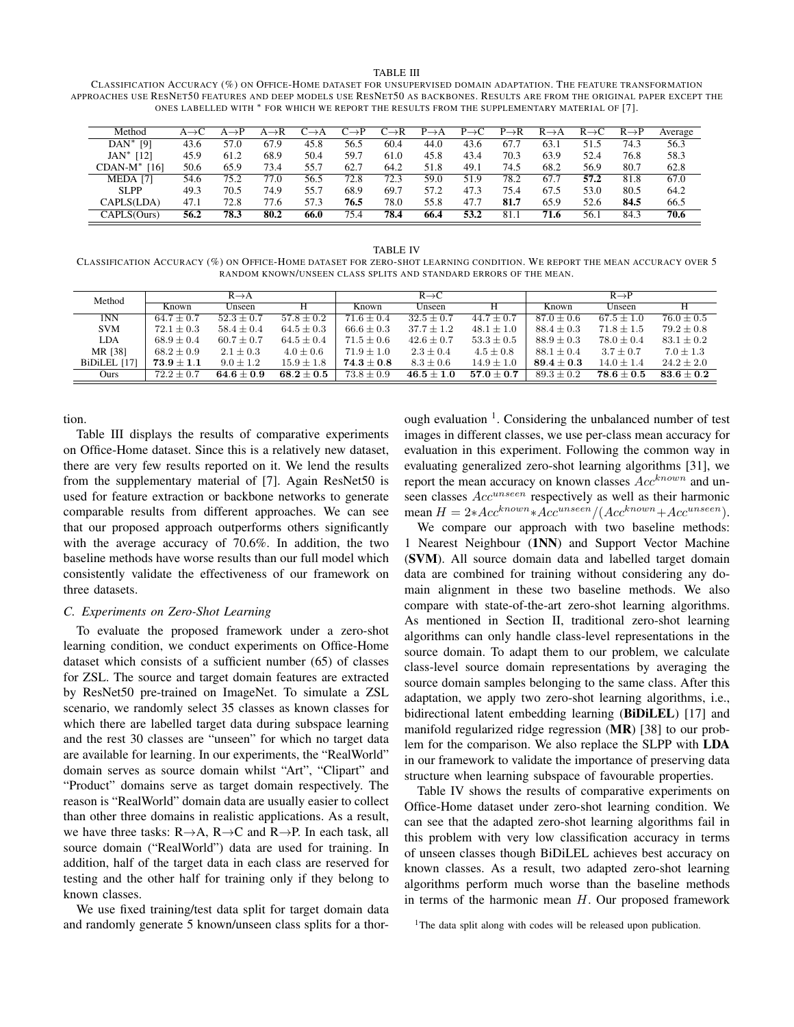TABLE III

CLASSIFICATION ACCURACY (%) ON OFFICE-HOME DATASET FOR UNSUPERVISED DOMAIN ADAPTATION. THE FEATURE TRANSFORMATION APPROACHES USE RESNET50 FEATURES AND DEEP MODELS USE RESNET50 AS BACKBONES. RESULTS ARE FROM THE ORIGINAL PAPER EXCEPT THE ONES LABELLED WITH \* FOR WHICH WE REPORT THE RESULTS FROM THE SUPPLEMENTARY MATERIAL OF [7].

| Method              | $A \rightarrow C$ | $\rightarrow P$ | ∖→R  | $C{\rightarrow}A$ | $C{\rightarrow}P$ | $C\rightarrow R$ | $P \rightarrow A$ | $P \rightarrow C$ | $P \rightarrow R$ | $R \rightarrow A$ | $R \rightarrow C$ | $R \rightarrow P$ | Average |
|---------------------|-------------------|-----------------|------|-------------------|-------------------|------------------|-------------------|-------------------|-------------------|-------------------|-------------------|-------------------|---------|
| $DAN^*$ [9]         | 43.6              | 57.0            | 67.9 | 45.8              | 56.5              | 60.4             | 44.0              | 43.6              | 67.7              | 63.1              | 51.5              | 74.3              | 56.3    |
| $JAN^*$ [12]        | 45.9              | 61.2            | 68.9 | 50.4              | 59.7              | 61.0             | 45.8              | 43.4              | 70.3              | 63.9              | 52.4              | 76.8              | 58.3    |
| $CDAN-M^*$ [16]     | 50.6              | 65.9            | 73.4 | 55.7              | 62.7              | 64.2             | 51.8              | 49.1              | 74.5              | 68.2              | 56.9              | 80.7              | 62.8    |
| MEDA <sub>[7]</sub> | 54.6              | 75.2            | 77.0 | 56.5              | 72.8              | 72.3             | 59.0              | 51.9              | 78.2              | 67.7              | 57.2              | 81.8              | 67.0    |
| SLPP                | 49.3              | 70.5            | 74.9 | 55.7              | 68.9              | 69.7             | 57.2              | 47.3              | 75.4              | 67.5              | 53.0              | 80.5              | 64.2    |
| CAPLS(LDA)          | 47.1              | 72.8            | 77.6 | 57.3              | 76.5              | 78.0             | 55.8              | 47.7              | 81.7              | 65.9              | 52.6              | 84.5              | 66.5    |
| CAPLS(Ours)         | 56.2              | 78.3            | 80.2 | 66.0              | 75.4              | 78.4             | 66.4              | 53.2              | 81.1              | 71.6              | 56.1              | 84.3              | 70.6    |

TABLE IV CLASSIFICATION ACCURACY (%) ON OFFICE-HOME DATASET FOR ZERO-SHOT LEARNING CONDITION. WE REPORT THE MEAN ACCURACY OVER 5 RANDOM KNOWN/UNSEEN CLASS SPLITS AND STANDARD ERRORS OF THE MEAN.

| Method       |                | $R \rightarrow A$ |                |                                  | $R \rightarrow C$ |                                  | $R \rightarrow P$ |                                  |                |  |
|--------------|----------------|-------------------|----------------|----------------------------------|-------------------|----------------------------------|-------------------|----------------------------------|----------------|--|
|              | Known          | Unseen            | н              | Known                            | Unseen            | н                                | Known             | Unseen                           | Н              |  |
| 1NN          | $64.7 \pm 0.7$ | $52.3 \pm 0.7$    | $57.8 \pm 0.2$ | $71.6 \pm 0.4$                   | $32.5 \pm 0.7$    | $44.7 \pm 0.7$                   | $87.0 \pm 0.6$    | $67.5 \pm 1.0$                   | $76.0 \pm 0.5$ |  |
| <b>SVM</b>   | $72.1 \pm 0.3$ | $58.4 \pm 0.4$    | $64.5 \pm 0.3$ | $66.6 \pm 0.3$                   | $37.7 \pm 1.2$    | $48.1 \pm 1.0$                   | $88.4 \pm 0.3$    | $71.8 \pm 1.5$                   | $79.2 \pm 0.8$ |  |
| <b>LDA</b>   | $68.9 + 0.4$   | $60.7 \pm 0.7$    | $64.5 \pm 0.4$ | $71.5 \pm 0.6$                   | $42.6 \pm 0.7$    | $53.3 \pm 0.5$                   | $88.9 \pm 0.3$    | $78.0 \pm 0.4$                   | $83.1 \pm 0.2$ |  |
| MR [38]      | $68.2 \pm 0.9$ | $2.1 \pm 0.3$     | $4.0 \pm 0.6$  | $71.9 \pm 1.0$                   | $2.3 \pm 0.4$     | $4.5 \pm 0.8$                    | $88.1 \pm 0.4$    | $3.7 \pm 0.7$                    | $7.0 \pm 1.3$  |  |
| BiDiLEL [17] | $73.9 \pm 1.1$ | $9.0 \pm 1.2$     | $15.9 \pm 1.8$ | $\textbf{74.3} \pm \textbf{0.8}$ | $8.3 \pm 0.6$     | $14.9 \pm 1.0$                   | $89.4\pm0.3$      | $14.0 \pm 1.4$                   | $24.2 \pm 2.0$ |  |
| Ours         | $72.2 \pm 0.7$ | $64.6 \pm 0.9$    | $68.2\pm0.5$   | $73.8 \pm 0.9$                   | $46.5 \pm 1.0$    | $\textbf{57.0} \pm \textbf{0.7}$ | $89.3 \pm 0.2$    | $\textbf{78.6} \pm \textbf{0.5}$ | $83.6 \pm 0.2$ |  |

tion.

Table III displays the results of comparative experiments on Office-Home dataset. Since this is a relatively new dataset, there are very few results reported on it. We lend the results from the supplementary material of [7]. Again ResNet50 is used for feature extraction or backbone networks to generate comparable results from different approaches. We can see that our proposed approach outperforms others significantly with the average accuracy of 70.6%. In addition, the two baseline methods have worse results than our full model which consistently validate the effectiveness of our framework on three datasets.

# *C. Experiments on Zero-Shot Learning*

To evaluate the proposed framework under a zero-shot learning condition, we conduct experiments on Office-Home dataset which consists of a sufficient number (65) of classes for ZSL. The source and target domain features are extracted by ResNet50 pre-trained on ImageNet. To simulate a ZSL scenario, we randomly select 35 classes as known classes for which there are labelled target data during subspace learning and the rest 30 classes are "unseen" for which no target data are available for learning. In our experiments, the "RealWorld" domain serves as source domain whilst "Art", "Clipart" and "Product" domains serve as target domain respectively. The reason is "RealWorld" domain data are usually easier to collect than other three domains in realistic applications. As a result, we have three tasks:  $R \rightarrow A$ ,  $R \rightarrow C$  and  $R \rightarrow P$ . In each task, all source domain ("RealWorld") data are used for training. In addition, half of the target data in each class are reserved for testing and the other half for training only if they belong to known classes.

We use fixed training/test data split for target domain data and randomly generate 5 known/unseen class splits for a thor-

ough evaluation<sup>1</sup>. Considering the unbalanced number of test images in different classes, we use per-class mean accuracy for evaluation in this experiment. Following the common way in evaluating generalized zero-shot learning algorithms [31], we report the mean accuracy on known classes  $Acc^{known}$  and unseen classes  $Acc^{unseen}$  respectively as well as their harmonic mean  $H = 2*Acc^{known}*Acc^{unseen}/(Acc^{known}+Acc^{unseen}).$ 

We compare our approach with two baseline methods: 1 Nearest Neighbour (1NN) and Support Vector Machine (SVM). All source domain data and labelled target domain data are combined for training without considering any domain alignment in these two baseline methods. We also compare with state-of-the-art zero-shot learning algorithms. As mentioned in Section II, traditional zero-shot learning algorithms can only handle class-level representations in the source domain. To adapt them to our problem, we calculate class-level source domain representations by averaging the source domain samples belonging to the same class. After this adaptation, we apply two zero-shot learning algorithms, i.e., bidirectional latent embedding learning (BiDiLEL) [17] and manifold regularized ridge regression (MR) [38] to our problem for the comparison. We also replace the SLPP with LDA in our framework to validate the importance of preserving data structure when learning subspace of favourable properties.

Table IV shows the results of comparative experiments on Office-Home dataset under zero-shot learning condition. We can see that the adapted zero-shot learning algorithms fail in this problem with very low classification accuracy in terms of unseen classes though BiDiLEL achieves best accuracy on known classes. As a result, two adapted zero-shot learning algorithms perform much worse than the baseline methods in terms of the harmonic mean  $H$ . Our proposed framework

<sup>&</sup>lt;sup>1</sup>The data split along with codes will be released upon publication.